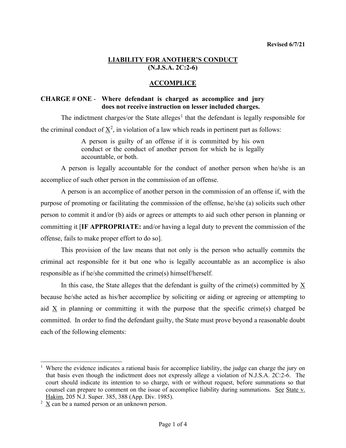### **LIABILITY FOR ANOTHER'S CONDUCT (N.J.S.A. 2C:2-6)**

### **ACCOMPLICE**

### **CHARGE # ONE** - **Where defendant is charged as accomplice and jury does not receive instruction on lesser included charges.**

The indictment charges/or the State alleges<sup>[1](#page-0-0)</sup> that the defendant is legally responsible for the criminal conduct of  $\underline{X}^2$  $\underline{X}^2$ , in violation of a law which reads in pertinent part as follows:

> A person is guilty of an offense if it is committed by his own conduct or the conduct of another person for which he is legally accountable, or both.

A person is legally accountable for the conduct of another person when he/she is an accomplice of such other person in the commission of an offense.

A person is an accomplice of another person in the commission of an offense if, with the purpose of promoting or facilitating the commission of the offense, he/she (a) solicits such other person to commit it and/or (b) aids or agrees or attempts to aid such other person in planning or committing it [**IF APPROPRIATE:** and/or having a legal duty to prevent the commission of the offense, fails to make proper effort to do so].

This provision of the law means that not only is the person who actually commits the criminal act responsible for it but one who is legally accountable as an accomplice is also responsible as if he/she committed the crime(s) himself/herself.

In this case, the State alleges that the defendant is guilty of the crime(s) committed by X because he/she acted as his/her accomplice by soliciting or aiding or agreeing or attempting to aid X in planning or committing it with the purpose that the specific crime(s) charged be committed. In order to find the defendant guilty, the State must prove beyond a reasonable doubt each of the following elements:

<span id="page-0-0"></span><sup>&</sup>lt;sup>1</sup> Where the evidence indicates a rational basis for accomplice liability, the judge can charge the jury on that basis even though the indictment does not expressly allege a violation of N.J.S.A. 2C:2-6. The court should indicate its intention to so charge, with or without request, before summations so that counsel can prepare to comment on the issue of accomplice liability during summations. See State v. Hakim, 205 N.J. Super. 385, 388 (App. Div. 1985).

<span id="page-0-1"></span> $2 \text{ X}$  can be a named person or an unknown person.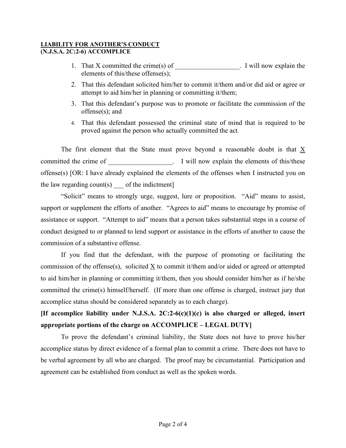#### **LIABILITY FOR ANOTHER'S CONDUCT (N.J.S.A. 2C:2-6) ACCOMPLICE**

- 1. That X committed the crime(s) of \_\_\_\_\_\_\_\_\_\_\_\_\_\_\_\_. I will now explain the elements of this/these offense(s);
- 2. That this defendant solicited him/her to commit it/them and/or did aid or agree or attempt to aid him/her in planning or committing it/them;
- 3. That this defendant's purpose was to promote or facilitate the commission of the offense(s); and
- 4. That this defendant possessed the criminal state of mind that is required to be proved against the person who actually committed the act.

The first element that the State must prove beyond a reasonable doubt is that X committed the crime of \_\_\_\_\_\_\_\_\_\_\_\_\_\_\_\_\_\_\_\_\_. I will now explain the elements of this/these offense(s) [OR: I have already explained the elements of the offenses when I instructed you on the law regarding count(s) of the indictment]

"Solicit" means to strongly urge, suggest, lure or proposition. "Aid" means to assist, support or supplement the efforts of another. "Agrees to aid" means to encourage by promise of assistance or support. "Attempt to aid" means that a person takes substantial steps in a course of conduct designed to or planned to lend support or assistance in the efforts of another to cause the commission of a substantive offense.

If you find that the defendant, with the purpose of promoting or facilitating the commission of the offense(s), solicited X to commit it/them and/or aided or agreed or attempted to aid him/her in planning or committing it/them, then you should consider him/her as if he/she committed the crime(s) himself/herself. (If more than one offense is charged, instruct jury that accomplice status should be considered separately as to each charge).

**[If accomplice liability under N.J.S.A. 2C:2-6(c)(1)(c) is also charged or alleged, insert appropriate portions of the charge on ACCOMPLICE – LEGAL DUTY]**

To prove the defendant's criminal liability, the State does not have to prove his/her accomplice status by direct evidence of a formal plan to commit a crime. There does not have to be verbal agreement by all who are charged. The proof may be circumstantial. Participation and agreement can be established from conduct as well as the spoken words.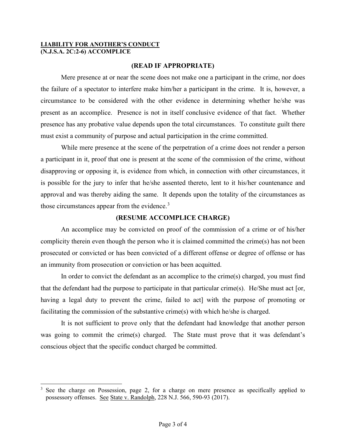### **LIABILITY FOR ANOTHER'S CONDUCT (N.J.S.A. 2C:2-6) ACCOMPLICE**

## **(READ IF APPROPRIATE)**

Mere presence at or near the scene does not make one a participant in the crime, nor does the failure of a spectator to interfere make him/her a participant in the crime. It is, however, a circumstance to be considered with the other evidence in determining whether he/she was present as an accomplice. Presence is not in itself conclusive evidence of that fact. Whether presence has any probative value depends upon the total circumstances. To constitute guilt there must exist a community of purpose and actual participation in the crime committed.

While mere presence at the scene of the perpetration of a crime does not render a person a participant in it, proof that one is present at the scene of the commission of the crime, without disapproving or opposing it, is evidence from which, in connection with other circumstances, it is possible for the jury to infer that he/she assented thereto, lent to it his/her countenance and approval and was thereby aiding the same. It depends upon the totality of the circumstances as those circumstances appear from the evidence. $3$ 

## **(RESUME ACCOMPLICE CHARGE)**

An accomplice may be convicted on proof of the commission of a crime or of his/her complicity therein even though the person who it is claimed committed the crime(s) has not been prosecuted or convicted or has been convicted of a different offense or degree of offense or has an immunity from prosecution or conviction or has been acquitted.

In order to convict the defendant as an accomplice to the crime(s) charged, you must find that the defendant had the purpose to participate in that particular crime(s). He/She must act [or, having a legal duty to prevent the crime, failed to act] with the purpose of promoting or facilitating the commission of the substantive crime(s) with which he/she is charged.

It is not sufficient to prove only that the defendant had knowledge that another person was going to commit the crime(s) charged. The State must prove that it was defendant's conscious object that the specific conduct charged be committed.

<span id="page-2-0"></span><sup>&</sup>lt;sup>3</sup> See the charge on Possession, page 2, for a charge on mere presence as specifically applied to possessory offenses. See State v. Randolph, 228 N.J. 566, 590-93 (2017).